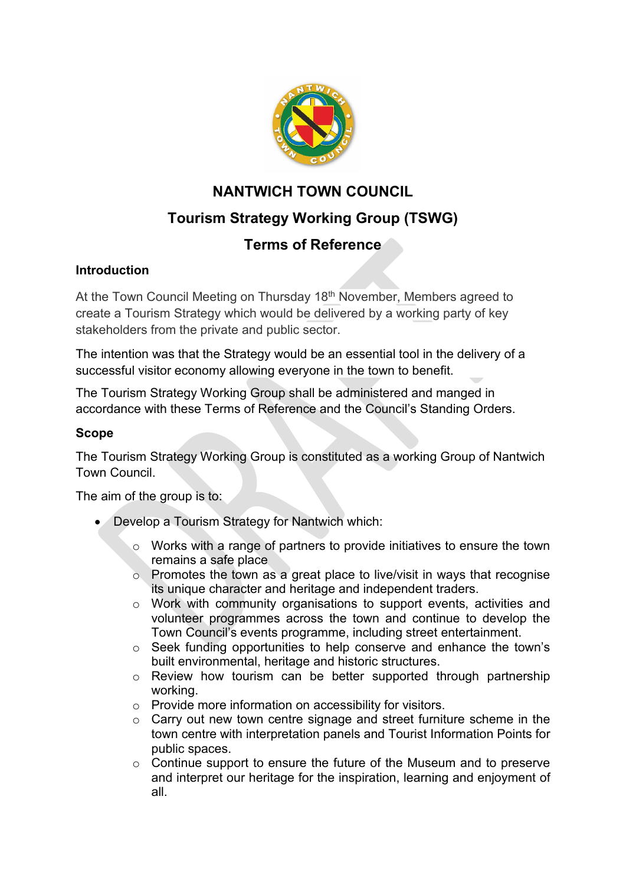

# **NANTWICH TOWN COUNCIL Tourism Strategy Working Group (TSWG)**

# **Terms of Reference**

# **Introduction**

At the Town Council Meeting on Thursday 18<sup>th</sup> November, Members agreed to create a Tourism Strategy which would be delivered by a working party of key stakeholders from the private and public sector.

The intention was that the Strategy would be an essential tool in the delivery of a successful visitor economy allowing everyone in the town to benefit.

The Tourism Strategy Working Group shall be administered and manged in accordance with these Terms of Reference and the Council's Standing Orders.

## **Scope**

The Tourism Strategy Working Group is constituted as a working Group of Nantwich Town Council.

The aim of the group is to:

- Develop a Tourism Strategy for Nantwich which:
	- o Works with a range of partners to provide initiatives to ensure the town remains a safe place
	- o Promotes the town as a great place to live/visit in ways that recognise its unique character and heritage and independent traders.
	- o Work with community organisations to support events, activities and volunteer programmes across the town and continue to develop the Town Council's events programme, including street entertainment.
	- o Seek funding opportunities to help conserve and enhance the town's built environmental, heritage and historic structures.
	- o Review how tourism can be better supported through partnership working.
	- o Provide more information on accessibility for visitors.
	- $\circ$  Carry out new town centre signage and street furniture scheme in the town centre with interpretation panels and Tourist Information Points for public spaces.
	- $\circ$  Continue support to ensure the future of the Museum and to preserve and interpret our heritage for the inspiration, learning and enjoyment of all.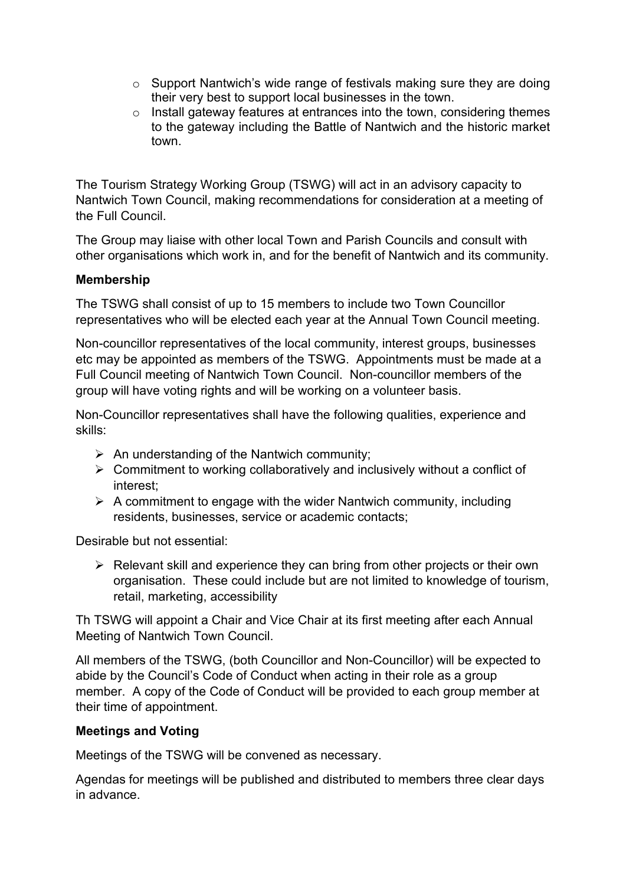- $\circ$  Support Nantwich's wide range of festivals making sure they are doing their very best to support local businesses in the town.
- $\circ$  Install gateway features at entrances into the town, considering themes to the gateway including the Battle of Nantwich and the historic market town.

The Tourism Strategy Working Group (TSWG) will act in an advisory capacity to Nantwich Town Council, making recommendations for consideration at a meeting of the Full Council.

The Group may liaise with other local Town and Parish Councils and consult with other organisations which work in, and for the benefit of Nantwich and its community.

#### **Membership**

The TSWG shall consist of up to 15 members to include two Town Councillor representatives who will be elected each year at the Annual Town Council meeting.

Non-councillor representatives of the local community, interest groups, businesses etc may be appointed as members of the TSWG. Appointments must be made at a Full Council meeting of Nantwich Town Council. Non-councillor members of the group will have voting rights and will be working on a volunteer basis.

Non-Councillor representatives shall have the following qualities, experience and skills:

- $\triangleright$  An understanding of the Nantwich community;
- $\triangleright$  Commitment to working collaboratively and inclusively without a conflict of interest;
- $\triangleright$  A commitment to engage with the wider Nantwich community, including residents, businesses, service or academic contacts;

Desirable but not essential:

 $\triangleright$  Relevant skill and experience they can bring from other projects or their own organisation. These could include but are not limited to knowledge of tourism, retail, marketing, accessibility

Th TSWG will appoint a Chair and Vice Chair at its first meeting after each Annual Meeting of Nantwich Town Council.

All members of the TSWG, (both Councillor and Non-Councillor) will be expected to abide by the Council's Code of Conduct when acting in their role as a group member. A copy of the Code of Conduct will be provided to each group member at their time of appointment.

#### **Meetings and Voting**

Meetings of the TSWG will be convened as necessary.

Agendas for meetings will be published and distributed to members three clear days in advance.